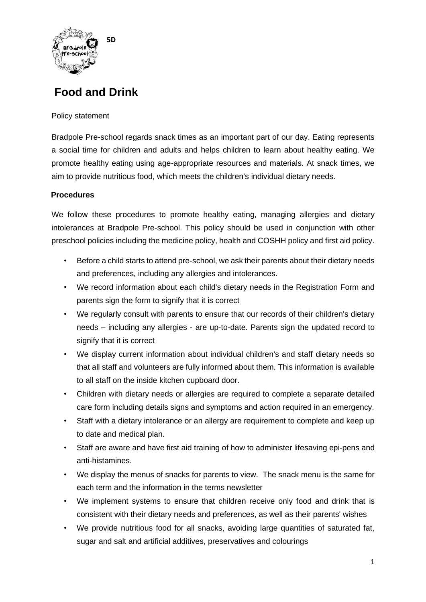

## **Food and Drink**

### Policy statement

Bradpole Pre-school regards snack times as an important part of our day. Eating represents a social time for children and adults and helps children to learn about healthy eating. We promote healthy eating using age-appropriate resources and materials. At snack times, we aim to provide nutritious food, which meets the children's individual dietary needs.

## **Procedures**

We follow these procedures to promote healthy eating, managing allergies and dietary intolerances at Bradpole Pre-school. This policy should be used in conjunction with other preschool policies including the medicine policy, health and COSHH policy and first aid policy.

- Before a child starts to attend pre-school, we ask their parents about their dietary needs and preferences, including any allergies and intolerances.
- We record information about each child's dietary needs in the Registration Form and parents sign the form to signify that it is correct
- We regularly consult with parents to ensure that our records of their children's dietary needs – including any allergies - are up-to-date. Parents sign the updated record to signify that it is correct
- We display current information about individual children's and staff dietary needs so that all staff and volunteers are fully informed about them. This information is available to all staff on the inside kitchen cupboard door.
- Children with dietary needs or allergies are required to complete a separate detailed care form including details signs and symptoms and action required in an emergency.
- Staff with a dietary intolerance or an allergy are requirement to complete and keep up to date and medical plan.
- Staff are aware and have first aid training of how to administer lifesaving epi-pens and anti-histamines.
- We display the menus of snacks for parents to view. The snack menu is the same for each term and the information in the terms newsletter
- We implement systems to ensure that children receive only food and drink that is consistent with their dietary needs and preferences, as well as their parents' wishes
- We provide nutritious food for all snacks, avoiding large quantities of saturated fat, sugar and salt and artificial additives, preservatives and colourings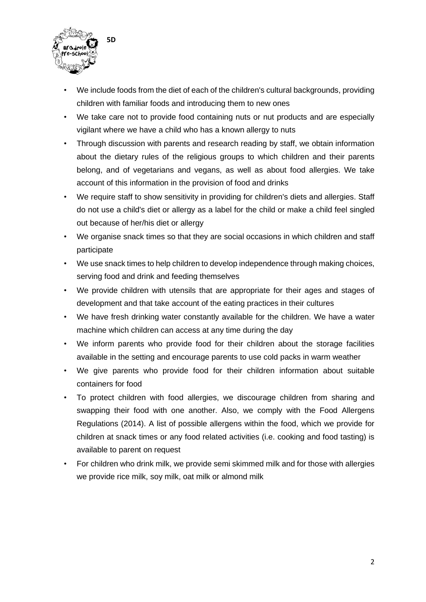

- We include foods from the diet of each of the children's cultural backgrounds, providing children with familiar foods and introducing them to new ones
- We take care not to provide food containing nuts or nut products and are especially vigilant where we have a child who has a known allergy to nuts
- Through discussion with parents and research reading by staff, we obtain information about the dietary rules of the religious groups to which children and their parents belong, and of vegetarians and vegans, as well as about food allergies. We take account of this information in the provision of food and drinks
- We require staff to show sensitivity in providing for children's diets and allergies. Staff do not use a child's diet or allergy as a label for the child or make a child feel singled out because of her/his diet or allergy
- We organise snack times so that they are social occasions in which children and staff participate
- We use snack times to help children to develop independence through making choices, serving food and drink and feeding themselves
- We provide children with utensils that are appropriate for their ages and stages of development and that take account of the eating practices in their cultures
- We have fresh drinking water constantly available for the children. We have a water machine which children can access at any time during the day
- We inform parents who provide food for their children about the storage facilities available in the setting and encourage parents to use cold packs in warm weather
- We give parents who provide food for their children information about suitable containers for food
- To protect children with food allergies, we discourage children from sharing and swapping their food with one another. Also, we comply with the Food Allergens Regulations (2014). A list of possible allergens within the food, which we provide for children at snack times or any food related activities (i.e. cooking and food tasting) is available to parent on request
- For children who drink milk, we provide semi skimmed milk and for those with allergies we provide rice milk, soy milk, oat milk or almond milk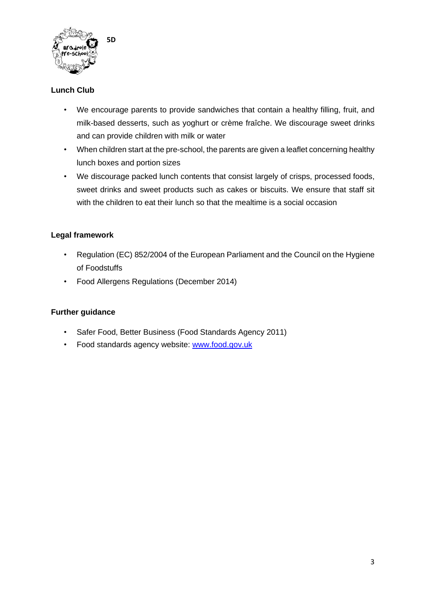

## **Lunch Club**

- We encourage parents to provide sandwiches that contain a healthy filling, fruit, and milk-based desserts, such as yoghurt or crème fraîche. We discourage sweet drinks and can provide children with milk or water
- When children start at the pre-school, the parents are given a leaflet concerning healthy lunch boxes and portion sizes
- We discourage packed lunch contents that consist largely of crisps, processed foods, sweet drinks and sweet products such as cakes or biscuits. We ensure that staff sit with the children to eat their lunch so that the mealtime is a social occasion

### **Legal framework**

- Regulation (EC) 852/2004 of the European Parliament and the Council on the Hygiene of Foodstuffs
- Food Allergens Regulations (December 2014)

### **Further guidance**

- Safer Food, Better Business (Food Standards Agency 2011)
- Food standards agency website: [www.food.gov.uk](http://www.food.gov.uk/)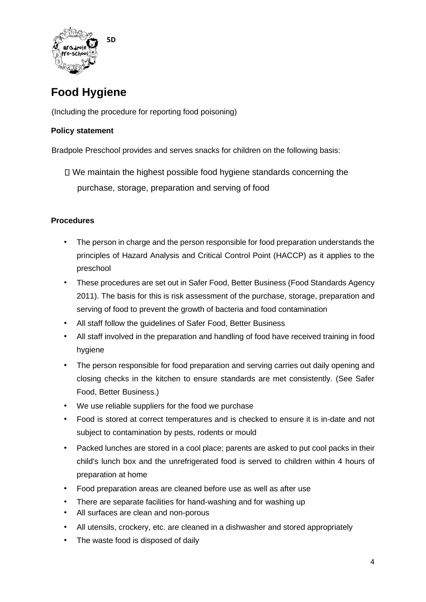

# **Food Hygiene**

(Including the procedure for reporting food poisoning)

## **Policy statement**

Bradpole Preschool provides and serves snacks for children on the following basis:

We maintain the highest possible food hygiene standards concerning the purchase, storage, preparation and serving of food

### **Procedures**

- The person in charge and the person responsible for food preparation understands the principles of Hazard Analysis and Critical Control Point (HACCP) as it applies to the preschool
- These procedures are set out in Safer Food, Better Business (Food Standards Agency 2011). The basis for this is risk assessment of the purchase, storage, preparation and serving of food to prevent the growth of bacteria and food contamination
- All staff follow the guidelines of Safer Food, Better Business
- All staff involved in the preparation and handling of food have received training in food hygiene
- The person responsible for food preparation and serving carries out daily opening and closing checks in the kitchen to ensure standards are met consistently. (See Safer Food, Better Business.)
- We use reliable suppliers for the food we purchase
- Food is stored at correct temperatures and is checked to ensure it is in-date and not subject to contamination by pests, rodents or mould
- Packed lunches are stored in a cool place; parents are asked to put cool packs in their child's lunch box and the unrefrigerated food is served to children within 4 hours of preparation at home
- Food preparation areas are cleaned before use as well as after use
- There are separate facilities for hand-washing and for washing up
- All surfaces are clean and non-porous
- All utensils, crockery, etc. are cleaned in a dishwasher and stored appropriately
- The waste food is disposed of daily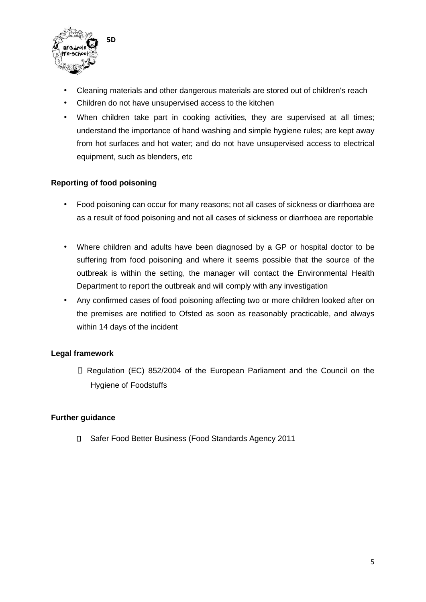

- Cleaning materials and other dangerous materials are stored out of children's reach
- Children do not have unsupervised access to the kitchen
- When children take part in cooking activities, they are supervised at all times; understand the importance of hand washing and simple hygiene rules; are kept away from hot surfaces and hot water; and do not have unsupervised access to electrical equipment, such as blenders, etc

### **Reporting of food poisoning**

- Food poisoning can occur for many reasons; not all cases of sickness or diarrhoea are as a result of food poisoning and not all cases of sickness or diarrhoea are reportable
- Where children and adults have been diagnosed by a GP or hospital doctor to be suffering from food poisoning and where it seems possible that the source of the outbreak is within the setting, the manager will contact the Environmental Health Department to report the outbreak and will comply with any investigation
- Any confirmed cases of food poisoning affecting two or more children looked after on the premises are notified to Ofsted as soon as reasonably practicable, and always within 14 days of the incident

### **Legal framework**

□ Regulation (EC) 852/2004 of the European Parliament and the Council on the Hygiene of Foodstuffs

### **Further guidance**

Safer Food Better Business (Food Standards Agency 2011